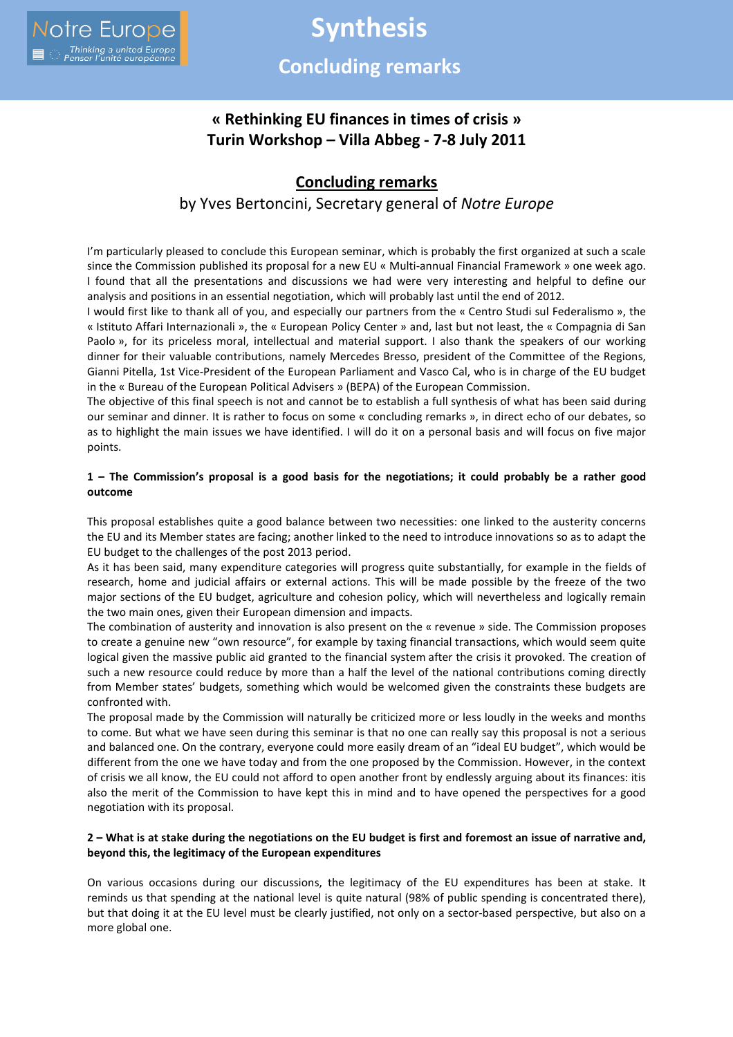# **Synthesis Concluding remarks**

## **« Rethinking EU finances in times of crisis » Turin Workshop – Villa Abbeg - 7-8 July 2011**

## **Concluding remarks**

### by Yves Bertoncini, Secretary general of *Notre Europe*

I'm particularly pleased to conclude this European seminar, which is probably the first organized at such a scale since the Commission published its proposal for a new EU « Multi-annual Financial Framework » one week ago. I found that all the presentations and discussions we had were very interesting and helpful to define our analysis and positions in an essential negotiation, which will probably last until the end of 2012.

I would first like to thank all of you, and especially our partners from the « Centro Studi sul Federalismo », the « Istituto Affari Internazionali », the « European Policy Center » and, last but not least, the « Compagnia di San Paolo », for its priceless moral, intellectual and material support. I also thank the speakers of our working dinner for their valuable contributions, namely Mercedes Bresso, president of the Committee of the Regions, Gianni Pitella, 1st Vice-President of the European Parliament and Vasco Cal, who is in charge of the EU budget in the « Bureau of the European Political Advisers » (BEPA) of the European Commission.

The objective of this final speech is not and cannot be to establish a full synthesis of what has been said during our seminar and dinner. It is rather to focus on some « concluding remarks », in direct echo of our debates, so as to highlight the main issues we have identified. I will do it on a personal basis and will focus on five major points.

#### **1 – The Commission's proposal is a good basis for the negotiations; it could probably be a rather good outcome**

This proposal establishes quite a good balance between two necessities: one linked to the austerity concerns the EU and its Member states are facing; another linked to the need to introduce innovations so as to adapt the EU budget to the challenges of the post 2013 period.

As it has been said, many expenditure categories will progress quite substantially, for example in the fields of research, home and judicial affairs or external actions. This will be made possible by the freeze of the two major sections of the EU budget, agriculture and cohesion policy, which will nevertheless and logically remain the two main ones, given their European dimension and impacts.

The combination of austerity and innovation is also present on the « revenue » side. The Commission proposes to create a genuine new "own resource", for example by taxing financial transactions, which would seem quite logical given the massive public aid granted to the financial system after the crisis it provoked. The creation of such a new resource could reduce by more than a half the level of the national contributions coming directly from Member states' budgets, something which would be welcomed given the constraints these budgets are confronted with.

The proposal made by the Commission will naturally be criticized more or less loudly in the weeks and months to come. But what we have seen during this seminar is that no one can really say this proposal is not a serious and balanced one. On the contrary, everyone could more easily dream of an "ideal EU budget", which would be different from the one we have today and from the one proposed by the Commission. However, in the context of crisis we all know, the EU could not afford to open another front by endlessly arguing about its finances: itis also the merit of the Commission to have kept this in mind and to have opened the perspectives for a good negotiation with its proposal.

#### **2 – What is at stake during the negotiations on the EU budget is first and foremost an issue of narrative and, beyond this, the legitimacy of the European expenditures**

On various occasions during our discussions, the legitimacy of the EU expenditures has been at stake. It reminds us that spending at the national level is quite natural (98% of public spending is concentrated there), but that doing it at the EU level must be clearly justified, not only on a sector-based perspective, but also on a more global one.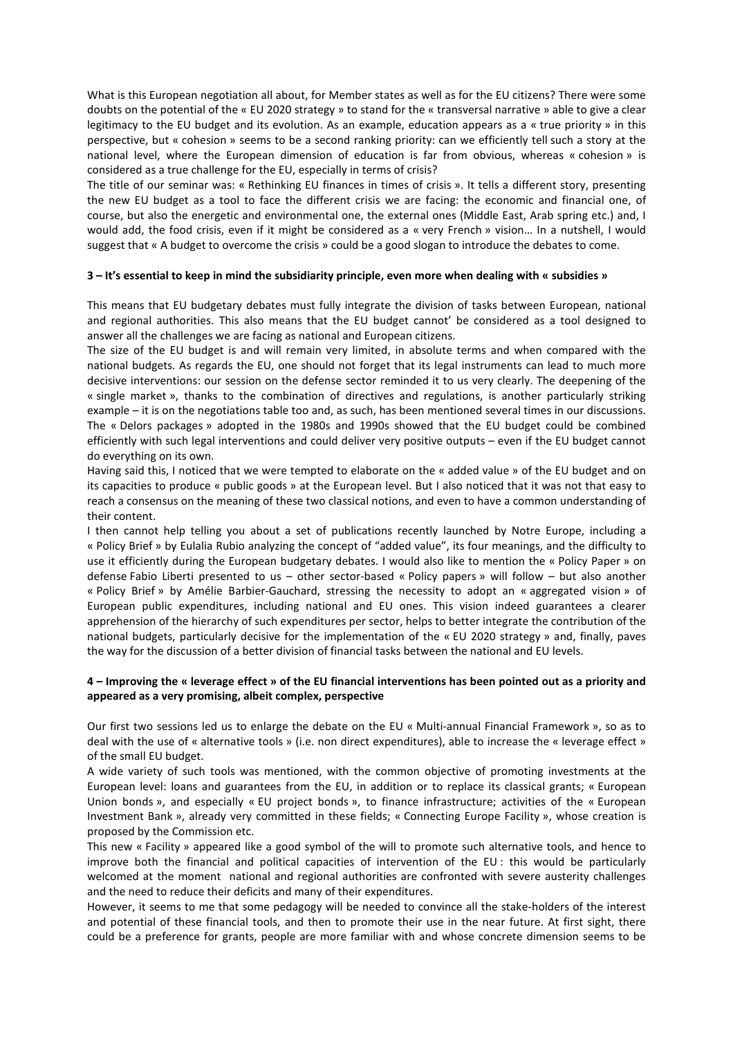What is this European negotiation all about, for Member states as well as for the EU citizens? There were some doubts on the potential of the « EU 2020 strategy » to stand for the « transversal narrative » able to give a clear legitimacy to the EU budget and its evolution. As an example, education appears as a « true priority » in this perspective, but « cohesion » seems to be a second ranking priority: can we efficiently tell such a story at the national level, where the European dimension of education is far from obvious, whereas « cohesion » is considered as a true challenge for the EU, especially in terms of crisis?

The title of our seminar was: « Rethinking EU finances in times of crisis ». It tells a different story, presenting the new EU budget as a tool to face the different crisis we are facing: the economic and financial one, of course, but also the energetic and environmental one, the external ones (Middle East, Arab spring etc.) and, I would add, the food crisis, even if it might be considered as a « very French » vision… In a nutshell, I would suggest that « A budget to overcome the crisis » could be a good slogan to introduce the debates to come.

#### **3 – It's essential to keep in mind the subsidiarity principle, even more when dealing with « subsidies »**

This means that EU budgetary debates must fully integrate the division of tasks between European, national and regional authorities. This also means that the EU budget cannot' be considered as a tool designed to answer all the challenges we are facing as national and European citizens.

The size of the EU budget is and will remain very limited, in absolute terms and when compared with the national budgets. As regards the EU, one should not forget that its legal instruments can lead to much more decisive interventions: our session on the defense sector reminded it to us very clearly. The deepening of the « single market », thanks to the combination of directives and regulations, is another particularly striking example – it is on the negotiations table too and, as such, has been mentioned several times in our discussions. The « Delors packages » adopted in the 1980s and 1990s showed that the EU budget could be combined efficiently with such legal interventions and could deliver very positive outputs – even if the EU budget cannot do everything on its own.

Having said this, I noticed that we were tempted to elaborate on the « added value » of the EU budget and on its capacities to produce « public goods » at the European level. But I also noticed that it was not that easy to reach a consensus on the meaning of these two classical notions, and even to have a common understanding of their content.

I then cannot help telling you about a set of publications recently launched by Notre Europe, including a « Policy Brief » by Eulalia Rubio analyzing the concept of "added value", its four meanings, and the difficulty to use it efficiently during the European budgetary debates. I would also like to mention the « Policy Paper » on defense Fabio Liberti presented to us – other sector-based « Policy papers » will follow – but also another « Policy Brief » by Amélie Barbier-Gauchard, stressing the necessity to adopt an « aggregated vision » of European public expenditures, including national and EU ones. This vision indeed guarantees a clearer apprehension of the hierarchy of such expenditures per sector, helps to better integrate the contribution of the national budgets, particularly decisive for the implementation of the « EU 2020 strategy » and, finally, paves the way for the discussion of a better division of financial tasks between the national and EU levels.

#### **4 – Improving the « leverage effect » of the EU financial interventions has been pointed out as a priority and appeared as a very promising, albeit complex, perspective**

Our first two sessions led us to enlarge the debate on the EU « Multi-annual Financial Framework », so as to deal with the use of « alternative tools » (i.e. non direct expenditures), able to increase the « leverage effect » of the small EU budget.

A wide variety of such tools was mentioned, with the common objective of promoting investments at the European level: loans and guarantees from the EU, in addition or to replace its classical grants; « European Union bonds », and especially « EU project bonds », to finance infrastructure; activities of the « European Investment Bank », already very committed in these fields; « Connecting Europe Facility », whose creation is proposed by the Commission etc.

This new « Facility » appeared like a good symbol of the will to promote such alternative tools, and hence to improve both the financial and political capacities of intervention of the EU : this would be particularly welcomed at the moment national and regional authorities are confronted with severe austerity challenges and the need to reduce their deficits and many of their expenditures.

However, it seems to me that some pedagogy will be needed to convince all the stake-holders of the interest and potential of these financial tools, and then to promote their use in the near future. At first sight, there could be a preference for grants, people are more familiar with and whose concrete dimension seems to be